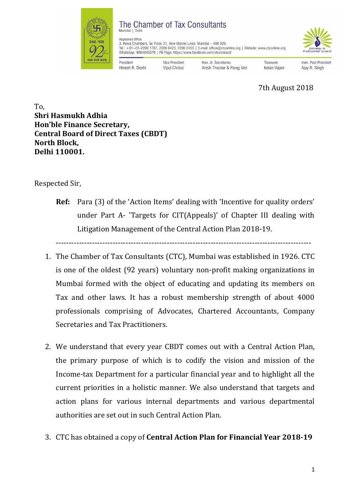

## The Chamber of Tax Consultants Mumbai | Delf

**Registered Office** 

3, Rewa Chambers, Gr. Floor, 31, New Marine Lines, Mumbai - 400 020. or terms oriented at the U.S. (200 0423, 2200 2455 | E-mail: office@ctconline.org | Website: www.ctconline.org<br>Tel.: +91-22-2200 1787, 2209 0423, 2200 2455 | E-mail: office@ctconline.org | Website: www.ctconline.org<br>WhatsA

President Hinesh R. Doshi Vice President Vipul Choksi

Hon, Jt. Secretaries Anish Thacker & Parag Ved

Treasurer Ketan Vajani Imm. Past President Aiav R. Singh

7th August 2018

To, **Shri Hasmukh Adhia Hon'ble Finance Secretary, Central Board of Direct Taxes (CBDT) North Block, Delhi 110001.**

Respected Sir,

**Ref:** Para (3) of the 'Action Items' dealing with 'Incentive for quality orders' under Part A- 'Targets for CIT(Appeals)' of Chapter III dealing with Litigation Management of the Central Action Plan 2018-19.

---------------------------------------------------------------------------------------------------

- 1. The Chamber of Tax Consultants (CTC), Mumbai was established in 1926. CTC is one of the oldest (92 years) voluntary non-profit making organizations in Mumbai formed with the object of educating and updating its members on Tax and other laws. It has a robust membership strength of about 4000 professionals comprising of Advocates, Chartered Accountants, Company Secretaries and Tax Practitioners.
- 2. We understand that every year CBDT comes out with a Central Action Plan, the primary purpose of which is to codify the vision and mission of the Income-tax Department for a particular financial year and to highlight all the current priorities in a holistic manner. We also understand that targets and action plans for various internal departments and various departmental authorities are set out in such Central Action Plan.
- 3. CTC has obtained a copy of **Central Action Plan for Financial Year 2018-19**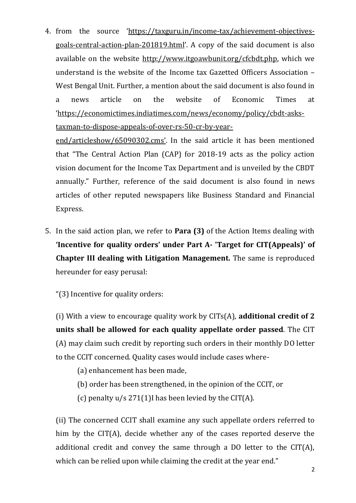4. from the source '[https://taxguru.in/income-tax/achievement-objectives](https://taxguru.in/income-tax/achievement-objectives-goals-central-action-plan-201819.html)[goals-central-action-plan-201819.html](https://taxguru.in/income-tax/achievement-objectives-goals-central-action-plan-201819.html)'. A copy of the said document is also available on the website [http://www.itgoawbunit.org/cfcbdt.php,](http://www.itgoawbunit.org/cfcbdt.php) which we understand is the website of the Income tax Gazetted Officers Association – West Bengal Unit. Further, a mention about the said document is also found in a news article on the website of Economic Times at '[https://economictimes.indiatimes.com/news/economy/policy/cbdt-asks](https://economictimes.indiatimes.com/news/economy/policy/cbdt-asks-taxman-to-dispose-appeals-of-over-rs-50-cr-by-year-end/articleshow/65090302.cms)[taxman-to-dispose-appeals-of-over-rs-50-cr-by-year-](https://economictimes.indiatimes.com/news/economy/policy/cbdt-asks-taxman-to-dispose-appeals-of-over-rs-50-cr-by-year-end/articleshow/65090302.cms)

[end/articleshow/65090302.cms](https://economictimes.indiatimes.com/news/economy/policy/cbdt-asks-taxman-to-dispose-appeals-of-over-rs-50-cr-by-year-end/articleshow/65090302.cms)'. In the said article it has been mentioned that "The Central Action Plan (CAP) for 2018-19 acts as the policy action vision document for the Income Tax Department and is unveiled by the CBDT annually." Further, reference of the said document is also found in news articles of other reputed newspapers like Business Standard and Financial Express.

5. In the said action plan, we refer to **Para (3)** of the Action Items dealing with **'Incentive for quality orders' under Part A- 'Target for CIT(Appeals)' of Chapter III dealing with Litigation Management.** The same is reproduced hereunder for easy perusal:

"(3) Incentive for quality orders:

(i) With a view to encourage quality work by CITs(A), **additional credit of 2 units shall be allowed for each quality appellate order passed**. The CIT (A) may claim such credit by reporting such orders in their monthly DO letter to the CCIT concerned. Quality cases would include cases where-

- (a) enhancement has been made,
- (b) order has been strengthened, in the opinion of the CCIT, or
- (c) penalty  $u/s$  271(1)I has been levied by the CIT(A).

(ii) The concerned CCIT shall examine any such appellate orders referred to him by the CIT(A), decide whether any of the cases reported deserve the additional credit and convey the same through a DO letter to the CIT(A), which can be relied upon while claiming the credit at the year end."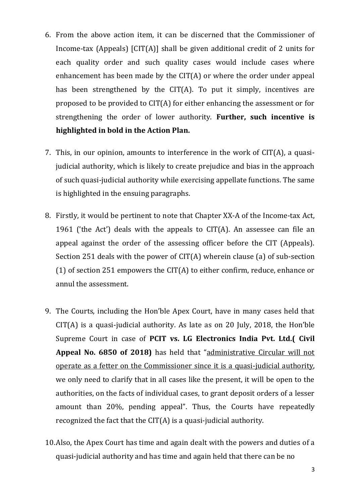- 6. From the above action item, it can be discerned that the Commissioner of Income-tax (Appeals) [CIT(A)] shall be given additional credit of 2 units for each quality order and such quality cases would include cases where enhancement has been made by the CIT(A) or where the order under appeal has been strengthened by the CIT(A). To put it simply, incentives are proposed to be provided to CIT(A) for either enhancing the assessment or for strengthening the order of lower authority. **Further, such incentive is highlighted in bold in the Action Plan.**
- 7. This, in our opinion, amounts to interference in the work of CIT(A), a quasijudicial authority, which is likely to create prejudice and bias in the approach of such quasi-judicial authority while exercising appellate functions. The same is highlighted in the ensuing paragraphs.
- 8. Firstly, it would be pertinent to note that Chapter XX-A of the Income-tax Act, 1961 ('the Act') deals with the appeals to  $CIT(A)$ . An assessee can file an appeal against the order of the assessing officer before the CIT (Appeals). Section 251 deals with the power of CIT(A) wherein clause (a) of sub-section (1) of section 251 empowers the CIT(A) to either confirm, reduce, enhance or annul the assessment.
- 9. The Courts, including the Hon'ble Apex Court, have in many cases held that CIT(A) is a quasi-judicial authority. As late as on 20 July, 2018, the Hon'ble Supreme Court in case of **PCIT vs. LG Electronics India Pvt. Ltd.( Civil Appeal No. 6850 of 2018)** has held that "administrative Circular will not operate as a fetter on the Commissioner since it is a quasi-judicial authority, we only need to clarify that in all cases like the present, it will be open to the authorities, on the facts of individual cases, to grant deposit orders of a lesser amount than 20%, pending appeal". Thus, the Courts have repeatedly recognized the fact that the CIT(A) is a quasi-judicial authority.
- 10.Also, the Apex Court has time and again dealt with the powers and duties of a quasi-judicial authority and has time and again held that there can be no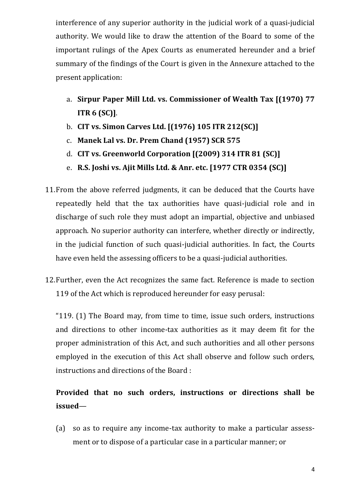interference of any superior authority in the judicial work of a quasi-judicial authority. We would like to draw the attention of the Board to some of the important rulings of the Apex Courts as enumerated hereunder and a brief summary of the findings of the Court is given in the Annexure attached to the present application:

- a. **Sirpur Paper Mill Ltd. vs. Commissioner of Wealth Tax [(1970) 77 ITR 6 (SC)]**.
- b. **CIT vs. Simon Carves Ltd. [(1976) 105 ITR 212(SC)]**
- c. **Manek Lal vs. Dr. Prem Chand (1957) SCR 575**
- d. **CIT vs. Greenworld Corporation [(2009) 314 ITR 81 (SC)]**
- e. **R.S. Joshi vs. Ajit Mills Ltd. & Anr. etc. [1977 CTR 0354 (SC)]**
- 11.From the above referred judgments, it can be deduced that the Courts have repeatedly held that the tax authorities have quasi-judicial role and in discharge of such role they must adopt an impartial, objective and unbiased approach. No superior authority can interfere, whether directly or indirectly, in the judicial function of such quasi-judicial authorities. In fact, the Courts have even held the assessing officers to be a quasi-judicial authorities.
- 12.Further, even the Act recognizes the same fact. Reference is made to section 119 of the Act which is reproduced hereunder for easy perusal:

"119. (1) The Board may, from time to time, issue such orders, instructions and directions to other income-tax authorities as it may deem fit for the proper administration of this Act, and such authorities and all other persons employed in the execution of this Act shall observe and follow such orders, instructions and directions of the Board :

## **Provided that no such orders, instructions or directions shall be issued**—

(a) so as to require any income-tax authority to make a particular assessment or to dispose of a particular case in a particular manner; or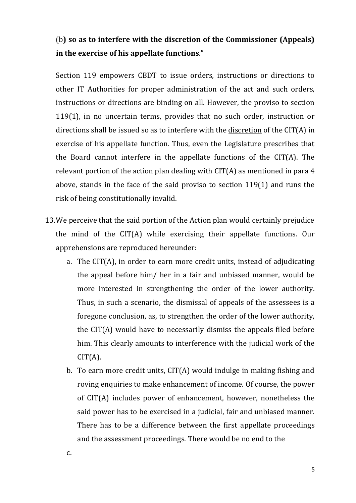## (b**) so as to interfere with the discretion of the Commissioner (Appeals) in the exercise of his appellate functions**."

Section 119 empowers CBDT to issue orders, instructions or directions to other IT Authorities for proper administration of the act and such orders, instructions or directions are binding on all. However, the proviso to section 119(1), in no uncertain terms, provides that no such order, instruction or directions shall be issued so as to interfere with the discretion of the CIT(A) in exercise of his appellate function. Thus, even the Legislature prescribes that the Board cannot interfere in the appellate functions of the CIT(A). The relevant portion of the action plan dealing with CIT(A) as mentioned in para 4 above, stands in the face of the said proviso to section 119(1) and runs the risk of being constitutionally invalid.

- 13.We perceive that the said portion of the Action plan would certainly prejudice the mind of the CIT(A) while exercising their appellate functions. Our apprehensions are reproduced hereunder:
	- a. The CIT(A), in order to earn more credit units, instead of adjudicating the appeal before him/ her in a fair and unbiased manner, would be more interested in strengthening the order of the lower authority. Thus, in such a scenario, the dismissal of appeals of the assessees is a foregone conclusion, as, to strengthen the order of the lower authority, the CIT(A) would have to necessarily dismiss the appeals filed before him. This clearly amounts to interference with the judicial work of the  $CIT(A)$ .
	- b. To earn more credit units, CIT(A) would indulge in making fishing and roving enquiries to make enhancement of income. Of course, the power of CIT(A) includes power of enhancement, however, nonetheless the said power has to be exercised in a judicial, fair and unbiased manner. There has to be a difference between the first appellate proceedings and the assessment proceedings. There would be no end to the

c.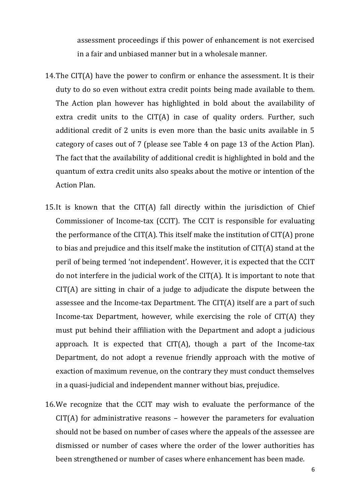assessment proceedings if this power of enhancement is not exercised in a fair and unbiased manner but in a wholesale manner.

- 14.The CIT(A) have the power to confirm or enhance the assessment. It is their duty to do so even without extra credit points being made available to them. The Action plan however has highlighted in bold about the availability of extra credit units to the CIT(A) in case of quality orders. Further, such additional credit of 2 units is even more than the basic units available in 5 category of cases out of 7 (please see Table 4 on page 13 of the Action Plan). The fact that the availability of additional credit is highlighted in bold and the quantum of extra credit units also speaks about the motive or intention of the Action Plan.
- 15.It is known that the CIT(A) fall directly within the jurisdiction of Chief Commissioner of Income-tax (CCIT). The CCIT is responsible for evaluating the performance of the CIT(A). This itself make the institution of CIT(A) prone to bias and prejudice and this itself make the institution of CIT(A) stand at the peril of being termed 'not independent'. However, it is expected that the CCIT do not interfere in the judicial work of the CIT(A). It is important to note that CIT(A) are sitting in chair of a judge to adjudicate the dispute between the assessee and the Income-tax Department. The CIT(A) itself are a part of such Income-tax Department, however, while exercising the role of CIT(A) they must put behind their affiliation with the Department and adopt a judicious approach. It is expected that CIT(A), though a part of the Income-tax Department, do not adopt a revenue friendly approach with the motive of exaction of maximum revenue, on the contrary they must conduct themselves in a quasi-judicial and independent manner without bias, prejudice.
- 16.We recognize that the CCIT may wish to evaluate the performance of the CIT(A) for administrative reasons – however the parameters for evaluation should not be based on number of cases where the appeals of the assessee are dismissed or number of cases where the order of the lower authorities has been strengthened or number of cases where enhancement has been made.